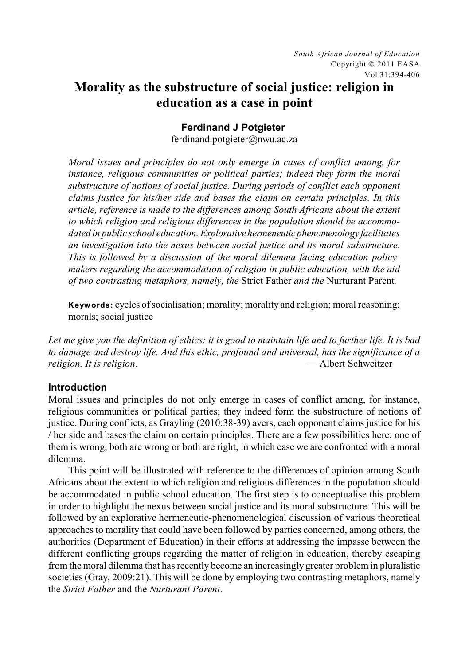# **Morality as the substructure of social justice: religion in education as a case in point**

## **Ferdinand J Potgieter**

ferdinand.potgieter@nwu.ac.za

*Moral issues and principles do not only emerge in cases of conflict among, for instance, religious communities or political parties; indeed they form the moral substructure of notions of social justice. During periods of conflict each opponent claims justice for his/her side and bases the claim on certain principles. In this article, reference is made to the differences among South Africans about the extent to which religion and religious differences in the population should be accommodated in public school education. Explorativehermeneuticphenomenology facilitates an investigation into the nexus between social justice and its moral substructure. This is followed by a discussion of the moral dilemma facing education policymakers regarding the accommodation of religion in public education, with the aid of two contrasting metaphors, namely, the* Strict Father *and the* Nurturant Parent*.* 

**Keywords:** cycles of socialisation; morality; morality and religion; moral reasoning; morals; social justice

*Let me give you the definition of ethics: it is good to maintain life and to further life. It is bad to damage and destroy life. And this ethic, profound and universal, has the significance of a religion. It is religion.* 

## **Introduction**

Moral issues and principles do not only emerge in cases of conflict among, for instance, religious communities or political parties; they indeed form the substructure of notions of justice. During conflicts, as Grayling (2010:38-39) avers, each opponent claims justice for his / her side and bases the claim on certain principles. There are a few possibilities here: one of them is wrong, both are wrong or both are right, in which case we are confronted with a moral dilemma.

This point will be illustrated with reference to the differences of opinion among South Africans about the extent to which religion and religious differences in the population should be accommodated in public school education. The first step is to conceptualise this problem in order to highlight the nexus between social justice and its moral substructure. This will be followed by an explorative hermeneutic-phenomenological discussion of various theoretical approaches to morality that could have been followed by parties concerned, among others, the authorities (Department of Education) in their efforts at addressing the impasse between the different conflicting groups regarding the matter of religion in education, thereby escaping from the moral dilemma that has recently become an increasingly greater problem in pluralistic societies (Gray, 2009:21). This will be done by employing two contrasting metaphors, namely the *Strict Father* and the *Nurturant Parent*.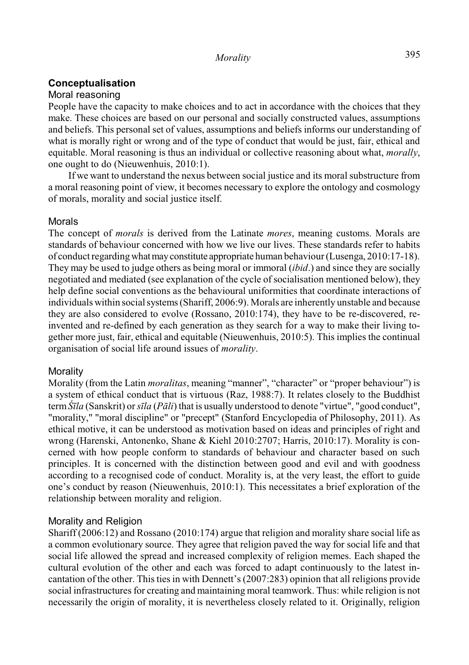## **Conceptualisation**

## Moral reasoning

People have the capacity to make choices and to act in accordance with the choices that they make. These choices are based on our personal and socially constructed values, assumptions and beliefs. This personal set of values, assumptions and beliefs informs our understanding of what is morally right or wrong and of the type of conduct that would be just, fair, ethical and equitable. Moral reasoning is thus an individual or collective reasoning about what, *morally*, one ought to do (Nieuwenhuis, 2010:1).

If we want to understand the nexus between social justice and its moral substructure from a moral reasoning point of view, it becomes necessary to explore the ontology and cosmology of morals, morality and social justice itself.

### Morals

The concept of *morals* is derived from the Latinate *mores*, meaning customs. Morals are standards of behaviour concerned with how we live our lives. These standards refer to habits of conduct regarding whatmayconstitute appropriate human behaviour (Lusenga, 2010:17-18). They may be used to judge others as being moral or immoral (*ibid*.) and since they are socially negotiated and mediated (see explanation of the cycle of socialisation mentioned below), they help define social conventions as the behavioural uniformities that coordinate interactions of individuals within social systems (Shariff, 2006:9). Morals are inherently unstable and because they are also considered to evolve (Rossano, 2010:174), they have to be re-discovered, reinvented and re-defined by each generation as they search for a way to make their living together more just, fair, ethical and equitable (Nieuwenhuis, 2010:5). This implies the continual organisation of social life around issues of *morality*.

## Morality

Morality (from the Latin *moralitas*, meaning "manner", "character" or "proper behaviour") is a system of ethical conduct that is virtuous (Raz, 1988:7). It relates closely to the Buddhist term*Δla* (Sanskrit) or *sîla* (*Pâli*) that is usually understood to denote "virtue", "good conduct", "morality," "moral discipline" or "precept" (Stanford Encyclopedia of Philosophy, 2011). As ethical motive, it can be understood as motivation based on ideas and principles of right and wrong (Harenski, Antonenko, Shane & Kiehl 2010:2707; Harris, 2010:17). Morality is concerned with how people conform to standards of behaviour and character based on such principles. It is concerned with the distinction between good and evil and with goodness according to a recognised code of conduct. Morality is, at the very least, the effort to guide one's conduct by reason (Nieuwenhuis, 2010:1). This necessitates a brief exploration of the relationship between morality and religion.

## Morality and Religion

Shariff (2006:12) and Rossano (2010:174) argue that religion and morality share social life as a common evolutionary source. They agree that religion paved the way for social life and that social life allowed the spread and increased complexity of religion memes. Each shaped the cultural evolution of the other and each was forced to adapt continuously to the latest incantation of the other. This ties in with Dennett's (2007:283) opinion that all religions provide social infrastructures for creating and maintaining moral teamwork. Thus: while religion is not necessarily the origin of morality, it is nevertheless closely related to it. Originally, religion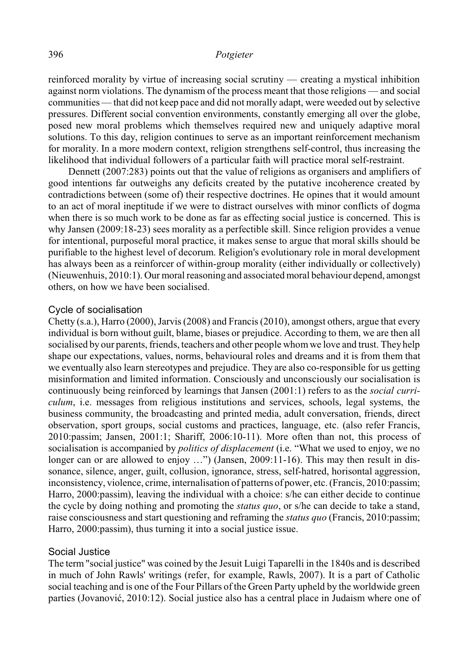### 396 *Potgieter*

reinforced morality by virtue of increasing social scrutiny — creating a mystical inhibition against norm violations. The dynamism of the process meant that those religions — and social communities — that did not keep pace and did not morally adapt, were weeded out by selective pressures. Different social convention environments, constantly emerging all over the globe, posed new moral problems which themselves required new and uniquely adaptive moral solutions. To this day, religion continues to serve as an important reinforcement mechanism for morality. In a more modern context, religion strengthens self-control, thus increasing the likelihood that individual followers of a particular faith will practice moral self-restraint.

Dennett (2007:283) points out that the value of religions as organisers and amplifiers of good intentions far outweighs any deficits created by the putative incoherence created by contradictions between (some of) their respective doctrines. He opines that it would amount to an act of moral ineptitude if we were to distract ourselves with minor conflicts of dogma when there is so much work to be done as far as effecting social justice is concerned. This is why Jansen (2009:18-23) sees morality as a perfectible skill. Since religion provides a venue for intentional, purposeful moral practice, it makes sense to argue that moral skills should be purifiable to the highest level of decorum. Religion's evolutionary role in moral development has always been as a reinforcer of within-group morality (either individually or collectively) (Nieuwenhuis, 2010:1). Our moral reasoning and associated moral behaviour depend, amongst others, on how we have been socialised.

### Cycle of socialisation

Chetty (s.a.), Harro (2000), Jarvis (2008) and Francis (2010), amongst others, argue that every individual is born without guilt, blame, biases or prejudice. According to them, we are then all socialised by our parents, friends, teachers and other people whom we love and trust. They help shape our expectations, values, norms, behavioural roles and dreams and it is from them that we eventually also learn stereotypes and prejudice. They are also co-responsible for us getting misinformation and limited information. Consciously and unconsciously our socialisation is continuously being reinforced by learnings that Jansen (2001:1) refers to as the *social curriculum*, i.e. messages from religious institutions and services, schools, legal systems, the business community, the broadcasting and printed media, adult conversation, friends, direct observation, sport groups, social customs and practices, language, etc. (also refer Francis, 2010:passim; Jansen, 2001:1; Shariff, 2006:10-11). More often than not, this process of socialisation is accompanied by *politics of displacement* (i.e. "What we used to enjoy, we no longer can or are allowed to enjoy ...") (Jansen, 2009:11-16). This may then result in dissonance, silence, anger, guilt, collusion, ignorance, stress, self-hatred, horisontal aggression, inconsistency, violence, crime, internalisation of patterns of power, etc. (Francis, 2010:passim; Harro, 2000:passim), leaving the individual with a choice: s/he can either decide to continue the cycle by doing nothing and promoting the *status quo*, or s/he can decide to take a stand, raise consciousness and start questioning and reframing the *status quo* (Francis, 2010:passim; Harro, 2000:passim), thus turning it into a social justice issue.

### Social Justice

The term "social justice" was coined by the Jesuit Luigi Taparelli in the 1840s and is described in much of John Rawls' writings (refer, for example, Rawls, 2007). It is a part of Catholic social teaching and is one of the Four Pillars of the Green Party upheld by the worldwide green parties (Jovanović, 2010:12). Social justice also has a central place in Judaism where one of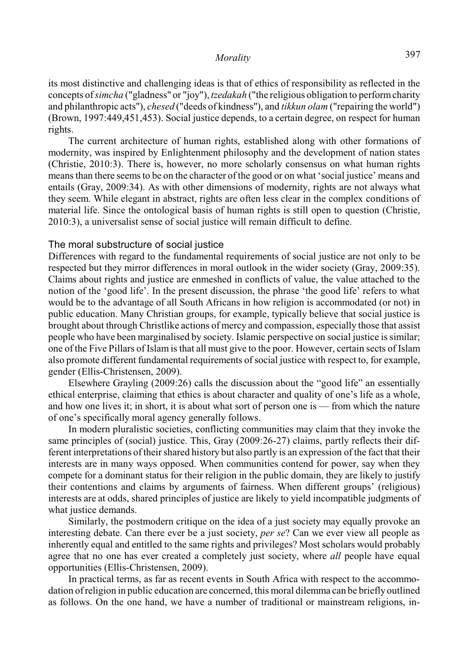its most distinctive and challenging ideas is that of ethics of responsibility as reflected in the concepts of *simcha* ("gladness" or "joy"), *tzedakah* ("the religious obligation to performcharity and philanthropic acts"), *chesed* ("deeds of kindness"), and *tikkun olam* ("repairing the world") (Brown, 1997:449,451,453). Social justice depends, to a certain degree, on respect for human rights.

The current architecture of human rights, established along with other formations of modernity, was inspired by Enlightenment philosophy and the development of nation states (Christie, 2010:3). There is, however, no more scholarly consensus on what human rights means than there seems to be on the character of the good or on what 'social justice' means and entails (Gray, 2009:34). As with other dimensions of modernity, rights are not always what they seem. While elegant in abstract, rights are often less clear in the complex conditions of material life. Since the ontological basis of human rights is still open to question (Christie, 2010:3), a universalist sense of social justice will remain difficult to define.

### The moral substructure of social justice

Differences with regard to the fundamental requirements of social justice are not only to be respected but they mirror differences in moral outlook in the wider society (Gray, 2009:35). Claims about rights and justice are enmeshed in conflicts of value, the value attached to the notion of the 'good life'. In the present discussion, the phrase 'the good life' refers to what would be to the advantage of all South Africans in how religion is accommodated (or not) in public education. Many Christian groups, for example, typically believe that social justice is brought about through Christlike actions of mercy and compassion, especially those that assist people who have been marginalised by society. Islamic perspective on social justice is similar; one of the Five Pillars of Islam is that all must give to the poor. However, certain sects of Islam also promote different fundamental requirements of social justice with respect to, for example, gender (Ellis-Christensen, 2009).

Elsewhere Grayling (2009:26) calls the discussion about the "good life" an essentially ethical enterprise, claiming that ethics is about character and quality of one's life as a whole, and how one lives it; in short, it is about what sort of person one is — from which the nature of one's specifically moral agency generally follows.

In modern pluralistic societies, conflicting communities may claim that they invoke the same principles of (social) justice. This, Gray (2009:26-27) claims, partly reflects their different interpretations of their shared history but also partly is an expression of the fact that their interests are in many ways opposed. When communities contend for power, say when they compete for a dominant status for their religion in the public domain, they are likely to justify their contentions and claims by arguments of fairness. When different groups' (religious) interests are at odds, shared principles of justice are likely to yield incompatible judgments of what justice demands.

Similarly, the postmodern critique on the idea of a just society may equally provoke an interesting debate. Can there ever be a just society, *per se*? Can we ever view all people as inherently equal and entitled to the same rights and privileges? Most scholars would probably agree that no one has ever created a completely just society, where *all* people have equal opportunities (Ellis-Christensen, 2009).

In practical terms, as far as recent events in South Africa with respect to the accommodation of religion in public education are concerned, this moral dilemma can be briefly outlined as follows. On the one hand, we have a number of traditional or mainstream religions, in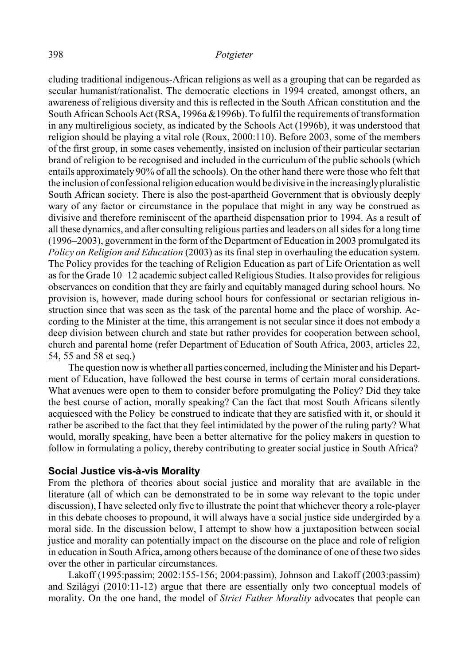cluding traditional indigenous-African religions as well as a grouping that can be regarded as secular humanist/rationalist. The democratic elections in 1994 created, amongst others, an awareness of religious diversity and this is reflected in the South African constitution and the South African Schools Act (RSA, 1996a &1996b). To fulfil the requirements of transformation in any multireligious society, as indicated by the Schools Act (1996b), it was understood that religion should be playing a vital role (Roux, 2000:110). Before 2003, some of the members of the first group, in some cases vehemently, insisted on inclusion of their particular sectarian brand of religion to be recognised and included in the curriculum of the public schools (which entails approximately 90% of all the schools). On the other hand there were those who felt that the inclusion of confessional religion education would be divisive in the increasinglypluralistic South African society. There is also the post-apartheid Government that is obviously deeply wary of any factor or circumstance in the populace that might in any way be construed as divisive and therefore reminiscent of the apartheid dispensation prior to 1994. As a result of all these dynamics, and after consulting religious parties and leaders on all sides for a long time (1996–2003), government in the form of the Department of Education in 2003 promulgated its *Policy on Religion and Education* (2003) as its final step in overhauling the education system. The Policy provides for the teaching of Religion Education as part of Life Orientation as well as for the Grade 10–12 academic subject called Religious Studies. It also provides for religious observances on condition that they are fairly and equitably managed during school hours. No provision is, however, made during school hours for confessional or sectarian religious instruction since that was seen as the task of the parental home and the place of worship. According to the Minister at the time, this arrangement is not secular since it does not embody a deep division between church and state but rather provides for cooperation between school, church and parental home (refer Department of Education of South Africa, 2003, articles 22, 54, 55 and 58 et seq.)

The question now is whether all parties concerned, including the Minister and his Department of Education, have followed the best course in terms of certain moral considerations. What avenues were open to them to consider before promulgating the Policy? Did they take the best course of action, morally speaking? Can the fact that most South Africans silently acquiesced with the Policy be construed to indicate that they are satisfied with it, or should it rather be ascribed to the fact that they feel intimidated by the power of the ruling party? What would, morally speaking, have been a better alternative for the policy makers in question to follow in formulating a policy, thereby contributing to greater social justice in South Africa?

### **Social Justice vis-à-vis Morality**

From the plethora of theories about social justice and morality that are available in the literature (all of which can be demonstrated to be in some way relevant to the topic under discussion), I have selected only five to illustrate the point that whichever theory a role-player in this debate chooses to propound, it will always have a social justice side undergirded by a moral side. In the discussion below, I attempt to show how a juxtaposition between social justice and morality can potentially impact on the discourse on the place and role of religion in education in South Africa, among others because of the dominance of one of these two sides over the other in particular circumstances.

Lakoff (1995:passim; 2002:155-156; 2004:passim), Johnson and Lakoff (2003:passim) and Szilágyi (2010:11-12) argue that there are essentially only two conceptual models of morality. On the one hand, the model of *Strict Father Morality* advocates that people can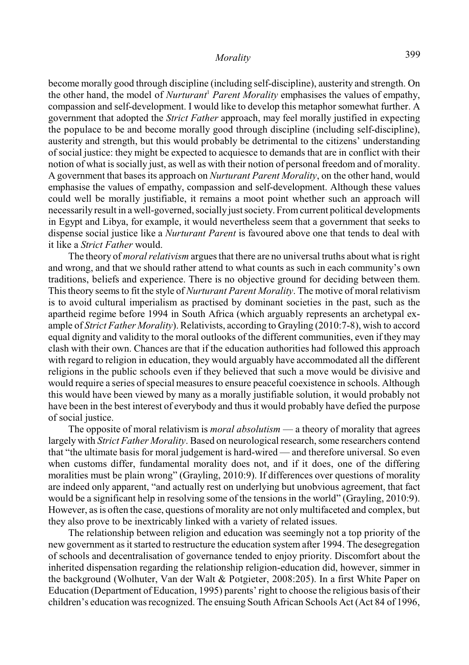become morally good through discipline (including self-discipline), austerity and strength. On the other hand, the model of *Nurturant<sup>1</sup> Parent Morality* emphasises the values of empathy, compassion and self-development. I would like to develop this metaphor somewhat further. A government that adopted the *Strict Father* approach, may feel morally justified in expecting the populace to be and become morally good through discipline (including self-discipline), austerity and strength, but this would probably be detrimental to the citizens' understanding of social justice: they might be expected to acquiesce to demands that are in conflict with their notion of what is socially just, as well as with their notion of personal freedom and of morality. A government that bases its approach on *Nurturant Parent Morality*, on the other hand, would emphasise the values of empathy, compassion and self-development. Although these values could well be morally justifiable, it remains a moot point whether such an approach will necessarily result in a well-governed, socially just society. From current political developments in Egypt and Libya, for example, it would nevertheless seem that a government that seeks to dispense social justice like a *Nurturant Parent* is favoured above one that tends to deal with it like a *Strict Father* would.

The theory of *moral relativism* argues that there are no universal truths about what is right and wrong, and that we should rather attend to what counts as such in each community's own traditions, beliefs and experience. There is no objective ground for deciding between them. This theory seems to fit the style of *Nurturant Parent Morality*. The motive of moral relativism is to avoid cultural imperialism as practised by dominant societies in the past, such as the apartheid regime before 1994 in South Africa (which arguably represents an archetypal example of *Strict Father Morality*). Relativists, according to Grayling (2010:7-8), wish to accord equal dignity and validity to the moral outlooks of the different communities, even if they may clash with their own. Chances are that if the education authorities had followed this approach with regard to religion in education, they would arguably have accommodated all the different religions in the public schools even if they believed that such a move would be divisive and would require a series of special measures to ensure peaceful coexistence in schools. Although this would have been viewed by many as a morally justifiable solution, it would probably not have been in the best interest of everybody and thus it would probably have defied the purpose of social justice.

The opposite of moral relativism is *moral absolutism* — a theory of morality that agrees largely with *Strict Father Morality*. Based on neurological research, some researchers contend that "the ultimate basis for moral judgement is hard-wired — and therefore universal. So even when customs differ, fundamental morality does not, and if it does, one of the differing moralities must be plain wrong" (Grayling, 2010:9). If differences over questions of morality are indeed only apparent, "and actually rest on underlying but unobvious agreement, that fact would be a significant help in resolving some of the tensions in the world" (Grayling, 2010:9). However, as is often the case, questions of morality are not only multifaceted and complex, but they also prove to be inextricably linked with a variety of related issues.

The relationship between religion and education was seemingly not a top priority of the new government as it started to restructure the education system after 1994. The desegregation of schools and decentralisation of governance tended to enjoy priority. Discomfort about the inherited dispensation regarding the relationship religion-education did, however, simmer in the background (Wolhuter, Van der Walt & Potgieter, 2008:205). In a first White Paper on Education (Department of Education, 1995) parents' right to choose the religious basis of their children's education was recognized. The ensuing South African Schools Act (Act 84 of 1996,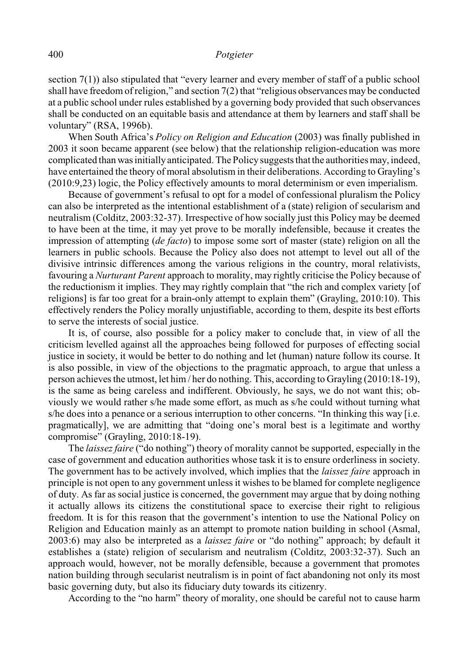section 7(1)) also stipulated that "every learner and every member of staff of a public school shall have freedom of religion," and section 7(2) that "religious observances may be conducted at a public school under rules established by a governing body provided that such observances shall be conducted on an equitable basis and attendance at them by learners and staff shall be voluntary" (RSA, 1996b).

When South Africa's *Policy on Religion and Education* (2003) was finally published in 2003 it soon became apparent (see below) that the relationship religion-education was more complicated than was initially anticipated. The Policy suggests that the authorities may, indeed, have entertained the theory of moral absolutism in their deliberations. According to Grayling's (2010:9,23) logic, the Policy effectively amounts to moral determinism or even imperialism.

Because of government's refusal to opt for a model of confessional pluralism the Policy can also be interpreted as the intentional establishment of a (state) religion of secularism and neutralism (Colditz, 2003:32-37). Irrespective of how socially just this Policy may be deemed to have been at the time, it may yet prove to be morally indefensible, because it creates the impression of attempting (*de facto*) to impose some sort of master (state) religion on all the learners in public schools. Because the Policy also does not attempt to level out all of the divisive intrinsic differences among the various religions in the country, moral relativists, favouring a *Nurturant Parent* approach to morality, may rightly criticise the Policy because of the reductionism it implies. They may rightly complain that "the rich and complex variety [of religions] is far too great for a brain-only attempt to explain them" (Grayling, 2010:10). This effectively renders the Policy morally unjustifiable, according to them, despite its best efforts to serve the interests of social justice.

It is, of course, also possible for a policy maker to conclude that, in view of all the criticism levelled against all the approaches being followed for purposes of effecting social justice in society, it would be better to do nothing and let (human) nature follow its course. It is also possible, in view of the objections to the pragmatic approach, to argue that unless a person achieves the utmost, let him / her do nothing. This, according to Grayling (2010:18-19), is the same as being careless and indifferent. Obviously, he says, we do not want this; obviously we would rather s/he made some effort, as much as s/he could without turning what s/he does into a penance or a serious interruption to other concerns. "In thinking this way [i.e. pragmatically], we are admitting that "doing one's moral best is a legitimate and worthy compromise" (Grayling, 2010:18-19).

The *laissez faire* ("do nothing") theory of morality cannot be supported, especially in the case of government and education authorities whose task it is to ensure orderliness in society. The government has to be actively involved, which implies that the *laissez faire* approach in principle is not open to any government unless it wishes to be blamed for complete negligence of duty. As far as social justice is concerned, the government may argue that by doing nothing it actually allows its citizens the constitutional space to exercise their right to religious freedom. It is for this reason that the government's intention to use the National Policy on Religion and Education mainly as an attempt to promote nation building in school (Asmal, 2003:6) may also be interpreted as a *laissez faire* or "do nothing" approach; by default it establishes a (state) religion of secularism and neutralism (Colditz, 2003:32-37). Such an approach would, however, not be morally defensible, because a government that promotes nation building through secularist neutralism is in point of fact abandoning not only its most basic governing duty, but also its fiduciary duty towards its citizenry.

According to the "no harm" theory of morality, one should be careful not to cause harm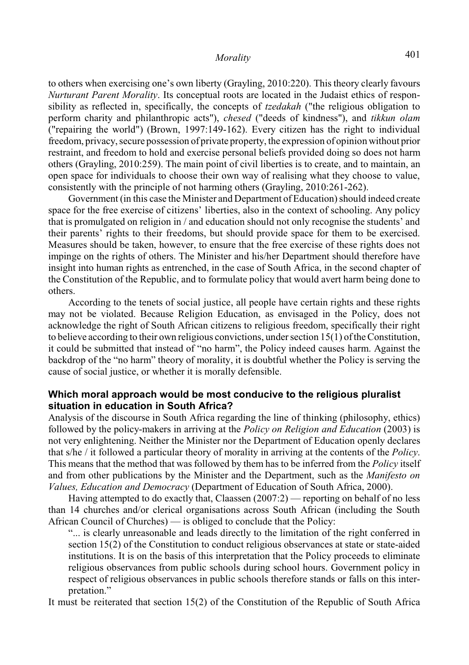to others when exercising one's own liberty (Grayling, 2010:220). This theory clearly favours *Nurturant Parent Morality*. Its conceptual roots are located in the Judaist ethics of responsibility as reflected in, specifically, the concepts of *tzedakah* ("the religious obligation to perform charity and philanthropic acts"), *chesed* ("deeds of kindness"), and *tikkun olam* ("repairing the world") (Brown, 1997:149-162). Every citizen has the right to individual freedom, privacy, secure possession of private property, the expression of opinion without prior restraint, and freedom to hold and exercise personal beliefs provided doing so does not harm others (Grayling, 2010:259). The main point of civil liberties is to create, and to maintain, an open space for individuals to choose their own way of realising what they choose to value, consistently with the principle of not harming others (Grayling, 2010:261-262).

Government (in this case the Minister and Department of Education) should indeed create space for the free exercise of citizens' liberties, also in the context of schooling. Any policy that is promulgated on religion in / and education should not only recognise the students' and their parents' rights to their freedoms, but should provide space for them to be exercised. Measures should be taken, however, to ensure that the free exercise of these rights does not impinge on the rights of others. The Minister and his/her Department should therefore have insight into human rights as entrenched, in the case of South Africa, in the second chapter of the Constitution of the Republic, and to formulate policy that would avert harm being done to others.

According to the tenets of social justice, all people have certain rights and these rights may not be violated. Because Religion Education, as envisaged in the Policy, does not acknowledge the right of South African citizens to religious freedom, specifically their right to believe according to their own religious convictions, under section 15(1) of the Constitution, it could be submitted that instead of "no harm", the Policy indeed causes harm. Against the backdrop of the "no harm" theory of morality, it is doubtful whether the Policy is serving the cause of social justice, or whether it is morally defensible.

## **Which moral approach would be most conducive to the religious pluralist situation in education in South Africa?**

Analysis of the discourse in South Africa regarding the line of thinking (philosophy, ethics) followed by the policy-makers in arriving at the *Policy on Religion and Education* (2003) is not very enlightening. Neither the Minister nor the Department of Education openly declares that s/he / it followed a particular theory of morality in arriving at the contents of the *Policy*. This means that the method that was followed by them has to be inferred from the *Policy* itself and from other publications by the Minister and the Department, such as the *Manifesto on Values, Education and Democracy* (Department of Education of South Africa, 2000).

Having attempted to do exactly that, Claassen (2007:2) — reporting on behalf of no less than 14 churches and/or clerical organisations across South African (including the South African Council of Churches) — is obliged to conclude that the Policy:

"... is clearly unreasonable and leads directly to the limitation of the right conferred in section 15(2) of the Constitution to conduct religious observances at state or state-aided institutions. It is on the basis of this interpretation that the Policy proceeds to eliminate religious observances from public schools during school hours. Government policy in respect of religious observances in public schools therefore stands or falls on this interpretation."

It must be reiterated that section 15(2) of the Constitution of the Republic of South Africa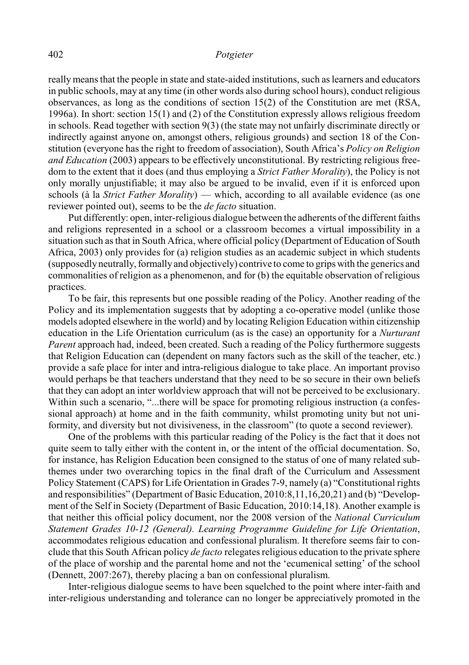really means that the people in state and state-aided institutions, such as learners and educators in public schools, may at any time (in other words also during school hours), conduct religious observances, as long as the conditions of section 15(2) of the Constitution are met (RSA, 1996a). In short: section 15(1) and (2) of the Constitution expressly allows religious freedom in schools. Read together with section 9(3) (the state may not unfairly discriminate directly or indirectly against anyone on, amongst others, religious grounds) and section 18 of the Constitution (everyone has the right to freedom of association), South Africa's *Policy on Religion and Education* (2003) appears to be effectively unconstitutional. By restricting religious freedom to the extent that it does (and thus employing a *Strict Father Morality*), the Policy is not only morally unjustifiable; it may also be argued to be invalid, even if it is enforced upon schools (à la *Strict Father Morality*) — which, according to all available evidence (as one reviewer pointed out), seems to be the *de facto* situation.

Put differently: open, inter-religious dialogue between the adherents of the different faiths and religions represented in a school or a classroom becomes a virtual impossibility in a situation such as that in South Africa, where official policy (Department of Education of South Africa, 2003) only provides for (a) religion studies as an academic subject in which students (supposedly neutrally, formally and objectively) contrive to come to grips with the generics and commonalities of religion as a phenomenon, and for (b) the equitable observation of religious practices.

To be fair, this represents but one possible reading of the Policy. Another reading of the Policy and its implementation suggests that by adopting a co-operative model (unlike those models adopted elsewhere in the world) and by locating Religion Education within citizenship education in the Life Orientation curriculum (as is the case) an opportunity for a *Nurturant Parent* approach had, indeed, been created. Such a reading of the Policy furthermore suggests that Religion Education can (dependent on many factors such as the skill of the teacher, etc.) provide a safe place for inter and intra-religious dialogue to take place. An important proviso would perhaps be that teachers understand that they need to be so secure in their own beliefs that they can adopt an inter worldview approach that will not be perceived to be exclusionary. Within such a scenario, "...there will be space for promoting religious instruction (a confessional approach) at home and in the faith community, whilst promoting unity but not uniformity, and diversity but not divisiveness, in the classroom" (to quote a second reviewer).

One of the problems with this particular reading of the Policy is the fact that it does not quite seem to tally either with the content in, or the intent of the official documentation. So, for instance, has Religion Education been consigned to the status of one of many related subthemes under two overarching topics in the final draft of the Curriculum and Assessment Policy Statement (CAPS) for Life Orientation in Grades 7-9, namely (a) "Constitutional rights and responsibilities" (Department of Basic Education, 2010:8,11,16,20,21) and (b) "Development of the Self in Society (Department of Basic Education, 2010:14,18). Another example is that neither this official policy document, nor the 2008 version of the *National Curriculum Statement Grades 10-12 (General). Learning Programme Guideline for Life Orientation*, accommodates religious education and confessional pluralism. It therefore seems fair to conclude that this South African policy *de facto* relegates religious education to the private sphere of the place of worship and the parental home and not the 'ecumenical setting' of the school (Dennett, 2007:267), thereby placing a ban on confessional pluralism.

Inter-religious dialogue seems to have been squelched to the point where inter-faith and inter-religious understanding and tolerance can no longer be appreciatively promoted in the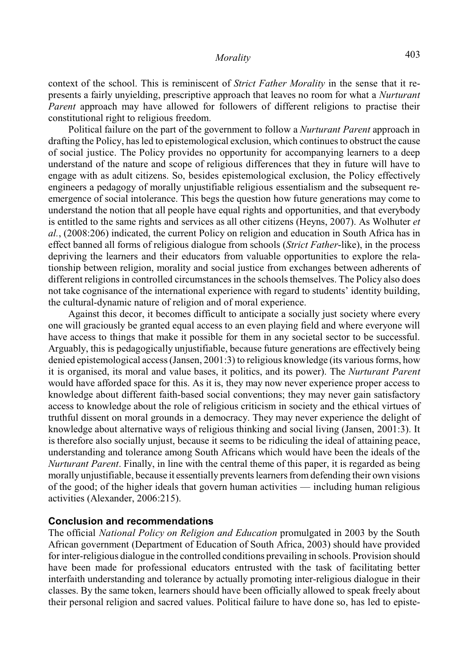context of the school. This is reminiscent of *Strict Father Morality* in the sense that it represents a fairly unyielding, prescriptive approach that leaves no room for what a *Nurturant Parent* approach may have allowed for followers of different religions to practise their constitutional right to religious freedom.

Political failure on the part of the government to follow a *Nurturant Parent* approach in drafting the Policy, has led to epistemological exclusion, which continues to obstruct the cause of social justice. The Policy provides no opportunity for accompanying learners to a deep understand of the nature and scope of religious differences that they in future will have to engage with as adult citizens. So, besides epistemological exclusion, the Policy effectively engineers a pedagogy of morally unjustifiable religious essentialism and the subsequent reemergence of social intolerance. This begs the question how future generations may come to understand the notion that all people have equal rights and opportunities, and that everybody is entitled to the same rights and services as all other citizens (Heyns, 2007). As Wolhuter *et al.*, (2008:206) indicated, the current Policy on religion and education in South Africa has in effect banned all forms of religious dialogue from schools (*Strict Father*-like), in the process depriving the learners and their educators from valuable opportunities to explore the relationship between religion, morality and social justice from exchanges between adherents of different religions in controlled circumstances in the schools themselves. The Policy also does not take cognisance of the international experience with regard to students' identity building, the cultural-dynamic nature of religion and of moral experience.

Against this decor, it becomes difficult to anticipate a socially just society where every one will graciously be granted equal access to an even playing field and where everyone will have access to things that make it possible for them in any societal sector to be successful. Arguably, this is pedagogically unjustifiable, because future generations are effectively being denied epistemological access (Jansen, 2001:3) to religious knowledge (its various forms, how it is organised, its moral and value bases, it politics, and its power). The *Nurturant Parent* would have afforded space for this. As it is, they may now never experience proper access to knowledge about different faith-based social conventions; they may never gain satisfactory access to knowledge about the role of religious criticism in society and the ethical virtues of truthful dissent on moral grounds in a democracy. They may never experience the delight of knowledge about alternative ways of religious thinking and social living (Jansen, 2001:3). It is therefore also socially unjust, because it seems to be ridiculing the ideal of attaining peace, understanding and tolerance among South Africans which would have been the ideals of the *Nurturant Parent*. Finally, in line with the central theme of this paper, it is regarded as being morally unjustifiable, because it essentially prevents learners from defending their own visions of the good; of the higher ideals that govern human activities — including human religious activities (Alexander, 2006:215).

### **Conclusion and recommendations**

The official *National Policy on Religion and Education* promulgated in 2003 by the South African government (Department of Education of South Africa, 2003) should have provided for inter-religious dialogue in the controlled conditions prevailing in schools. Provision should have been made for professional educators entrusted with the task of facilitating better interfaith understanding and tolerance by actually promoting inter-religious dialogue in their classes. By the same token, learners should have been officially allowed to speak freely about their personal religion and sacred values. Political failure to have done so, has led to episte-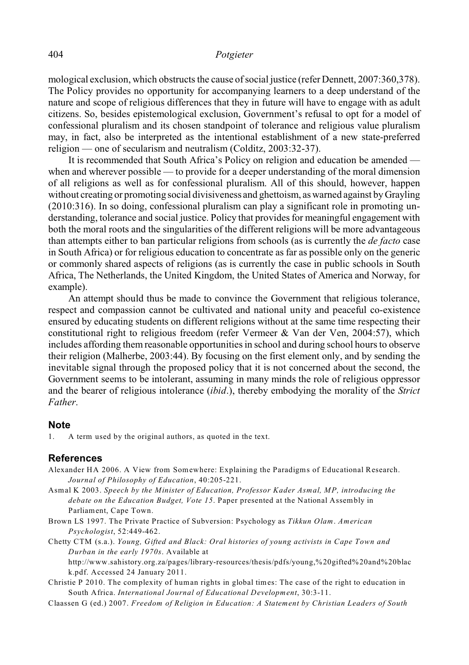### 404 *Potgieter*

mological exclusion, which obstructs the cause of social justice (refer Dennett, 2007:360,378). The Policy provides no opportunity for accompanying learners to a deep understand of the nature and scope of religious differences that they in future will have to engage with as adult citizens. So, besides epistemological exclusion, Government's refusal to opt for a model of confessional pluralism and its chosen standpoint of tolerance and religious value pluralism may, in fact, also be interpreted as the intentional establishment of a new state-preferred religion — one of secularism and neutralism (Colditz, 2003:32-37).

It is recommended that South Africa's Policy on religion and education be amended when and wherever possible — to provide for a deeper understanding of the moral dimension of all religions as well as for confessional pluralism. All of this should, however, happen without creating or promoting social divisiveness and ghettoism, as warned against by Grayling (2010:316). In so doing, confessional pluralism can play a significant role in promoting understanding, tolerance and social justice. Policy that provides for meaningful engagement with both the moral roots and the singularities of the different religions will be more advantageous than attempts either to ban particular religions from schools (as is currently the *de facto* case in South Africa) or for religious education to concentrate as far as possible only on the generic or commonly shared aspects of religions (as is currently the case in public schools in South Africa, The Netherlands, the United Kingdom, the United States of America and Norway, for example).

An attempt should thus be made to convince the Government that religious tolerance, respect and compassion cannot be cultivated and national unity and peaceful co-existence ensured by educating students on different religions without at the same time respecting their constitutional right to religious freedom (refer Vermeer & Van der Ven, 2004:57), which includes affording them reasonable opportunities in school and during school hours to observe their religion (Malherbe, 2003:44). By focusing on the first element only, and by sending the inevitable signal through the proposed policy that it is not concerned about the second, the Government seems to be intolerant, assuming in many minds the role of religious oppressor and the bearer of religious intolerance (*ibid*.), thereby embodying the morality of the *Strict Father*.

### **Note**

1. A term used by the original authors, as quoted in the text.

### **References**

- Alexander HA 2006. A View from Somewhere: Explaining the Paradigms of Educational Research. *Journal of Philosophy of Education*, 40:205-221.
- Asmal K 2003. *Speech by the Minister of Education, Professor Kader Asmal, MP, introducing the debate on the Education Budget, Vote 15*. Paper presented at the National Assembly in Parliament, Cape Town.
- Brown LS 1997. The Private Practice of Subversion: Psychology as *Tikkun Olam*. *American Psychologist*, 52:449-462.
- Chetty CTM (s.a.). *Young, Gifted and Black: Oral histories of young activists in Cape Town and Durban in the early 1970s*. Available at

http://www.sahistory.org.za/pages/library-resources/thesis/pdfs/young,%20gifted%20and%20blac k.pdf. Accessed 24 January 2011.

- Christie P 2010. The complexity of human rights in global times: The case of the right to education in South Africa. *International Journal of Educational Development*, 30:3-11.
- Claassen G (ed.) 2007. *Freedom of Religion in Education: A Statement by Christian Leaders of South*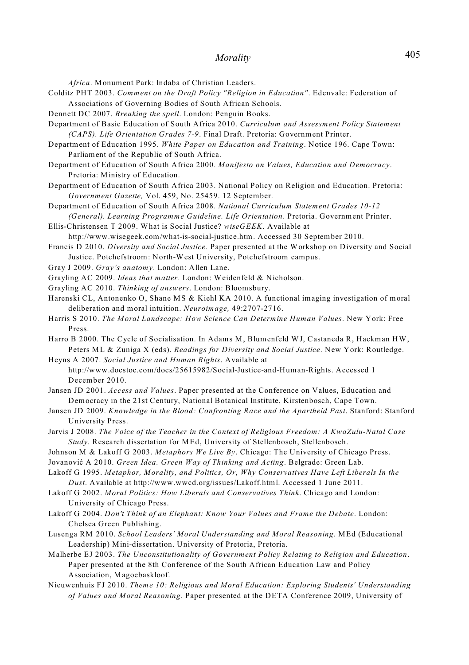*Africa*. Monument Park: Indaba of Christian Leaders.

- Colditz PHT 2003. *Comment on the Draft Policy "Religion in Education"*. Edenvale: Federation of Associations of Governing Bodies of South African Schools.
- Dennett DC 2007. *Breaking the spell*. London: Penguin Books.
- Department of Basic Education of South Africa 2010. *Curriculum and Assessment Policy Statement (CAPS). Life Orientation Grades 7-9*. Final Draft. Pretoria: Government Printer.
- Department of Education 1995. *White Paper on Education and Training*. Notice 196. Cape Town: Parliament of the Republic of South Africa.
- Department of Education of South Africa 2000. *Manifesto on Values, Education and Democracy*. Pretoria: Ministry of Education.
- Department of Education of South Africa 2003. National Policy on Religion and Education. Pretoria: *Government Gazette,* Vol. 459, No. 25459. 12 September.
- Department of Education of South Africa 2008. *National Curriculum Statement Grades 10-12 (General). Learning Programme Guideline. Life Orientation*. Pretoria. Government Printer.

Ellis-Christensen T 2009. What is Social Justice? *wiseGEEK*. Available at http://www.wisegeek.com/what-is-social-justice.htm. Accessed 30 September 2010.

Francis D 2010. *Diversity and Social Justice*. Paper presented at the Workshop on Diversity and Social Justice. Potchefstroom: North-West University, Potchefstroom campus.

- Gray J 2009. *Gray's anatomy*. London: Allen Lane.
- Grayling AC 2009. *Ideas that matter*. London: Weidenfeld & Nicholson.
- Grayling AC 2010. *Thinking of answers*. London: Bloomsbury.
- Harenski CL, Antonenko O, Shane MS & Kiehl KA 2010. A functional imaging investigation of moral deliberation and moral intuition. *Neuroimage,* 49:2707-2716.
- Harris S 2010. *The Moral Landscape: How Science Can Determine Human Values*. New York: Free Press.
- Harro B 2000. The Cycle of Socialisation. In Adams M, Blumenfeld WJ, Castaneda R, Hackman HW, Peters ML & Zuniga X (eds). *Readings for Diversity and Social Justice*. New York: Routledge.

Heyns A 2007. *Social Justice and Human Rights*. Available at http://www.docstoc.com/docs/25615982/Social-Justice-and-Human-Rights. Accessed 1 December 2010.

- Jansen JD 2001. *Access and Values*. Paper presented at the Conference on Values, Education and Democracy in the 21st Century, National Botanical Institute, Kirstenbosch, Cape Town.
- Jansen JD 2009. *Knowledge in the Blood: Confronting Race and the Apartheid Past*. Stanford: Stanford University Press.
- Jarvis J 2008. *The Voice of the Teacher in the Context of Religious Freedom: A KwaZulu-Natal Case Study.* Research dissertation for MEd, University of Stellenbosch, Stellenbosch.
- Johnson M & Lakoff G 2003. *Metaphors We Live By*. Chicago: The University of Chicago Press.
- Jovanoviæ A 2010. *Green Idea. Green Way of Thinking and Acting*. Belgrade: Green Lab.
- Lakoff G 1995. *Metaphor, Morality, and Politics, Or, Why Conservatives Have Left Liberals In the Dust*. Available at http://www.wwcd.org/issues/Lakoff.html. Accessed 1 June 2011.
- Lakoff G 2002. *Moral Politics: How Liberals and Conservatives Think*. Chicago and London: University of Chicago Press.
- Lakoff G 2004. *Don't Think of an Elephant: Know Your Values and Frame the Debate*. London: Chelsea Green Publishing.
- Lusenga RM 2010. *School Leaders' Moral Understanding and Moral Reasoning*. MEd (Educational Leadership) Mini-dissertation. University of Pretoria, Pretoria.
- Malherbe EJ 2003. *The Unconstitutionality of Government Policy Relating to Religion and Education*. Paper presented at the 8th Conference of the South African Education Law and Policy Association, Magoebaskloof.
- Nieuwenhuis FJ 2010. *Theme 10: Religious and Moral Education: Exploring Students' Understanding of Values and Moral Reasoning*. Paper presented at the DETA Conference 2009, University of